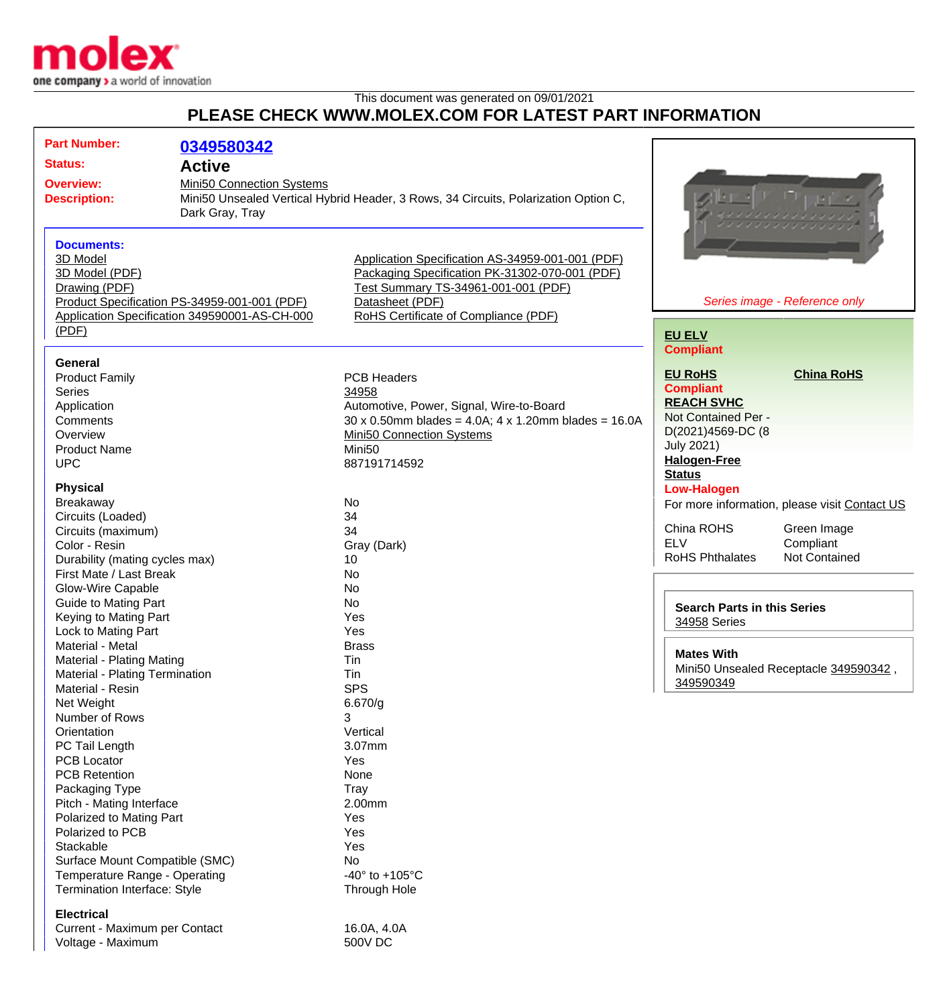

This document was generated on 09/01/2021

## **PLEASE CHECK WWW.MOLEX.COM FOR LATEST PART INFORMATION**

| <b>Part Number:</b>                                | 0349580342                                    |                                                                                     |                                       |                                               |
|----------------------------------------------------|-----------------------------------------------|-------------------------------------------------------------------------------------|---------------------------------------|-----------------------------------------------|
| <b>Status:</b>                                     |                                               |                                                                                     |                                       |                                               |
|                                                    | <b>Active</b>                                 |                                                                                     |                                       |                                               |
| <b>Overview:</b><br><b>Description:</b>            | Mini50 Connection Systems<br>Dark Gray, Tray  | Mini50 Unsealed Vertical Hybrid Header, 3 Rows, 34 Circuits, Polarization Option C, |                                       |                                               |
|                                                    |                                               |                                                                                     |                                       |                                               |
| <b>Documents:</b><br>3D Model                      |                                               | Application Specification AS-34959-001-001 (PDF)                                    |                                       |                                               |
| 3D Model (PDF)                                     |                                               | Packaging Specification PK-31302-070-001 (PDF)                                      |                                       |                                               |
| Drawing (PDF)                                      |                                               | Test Summary TS-34961-001-001 (PDF)                                                 |                                       |                                               |
|                                                    | Product Specification PS-34959-001-001 (PDF)  | Datasheet (PDF)                                                                     |                                       | Series image - Reference only                 |
|                                                    | Application Specification 349590001-AS-CH-000 | RoHS Certificate of Compliance (PDF)                                                |                                       |                                               |
| (PDF)                                              |                                               |                                                                                     | <b>EU ELV</b>                         |                                               |
|                                                    |                                               |                                                                                     | <b>Compliant</b>                      |                                               |
| <b>General</b>                                     |                                               |                                                                                     |                                       |                                               |
| <b>Product Family</b>                              |                                               | <b>PCB Headers</b>                                                                  | <b>EU RoHS</b>                        | <b>China RoHS</b>                             |
| Series                                             |                                               | 34958                                                                               | <b>Compliant</b>                      |                                               |
| Application                                        |                                               | Automotive, Power, Signal, Wire-to-Board                                            | <b>REACH SVHC</b>                     |                                               |
| Comments                                           |                                               | $30 \times 0.50$ mm blades = 4.0A; 4 x 1.20mm blades = 16.0A                        | Not Contained Per -                   |                                               |
| Overview                                           |                                               | <b>Mini50 Connection Systems</b>                                                    | D(2021)4569-DC (8                     |                                               |
| <b>Product Name</b>                                |                                               | Mini <sub>50</sub>                                                                  | <b>July 2021)</b>                     |                                               |
| <b>UPC</b>                                         |                                               | 887191714592                                                                        | <b>Halogen-Free</b>                   |                                               |
|                                                    |                                               |                                                                                     | <b>Status</b>                         |                                               |
| <b>Physical</b>                                    |                                               | No                                                                                  | <b>Low-Halogen</b>                    |                                               |
| Breakaway<br>Circuits (Loaded)                     |                                               | 34                                                                                  |                                       | For more information, please visit Contact US |
| Circuits (maximum)                                 |                                               | 34                                                                                  | China ROHS                            | Green Image                                   |
| Color - Resin                                      |                                               | Gray (Dark)                                                                         | <b>ELV</b>                            | Compliant                                     |
| Durability (mating cycles max)                     |                                               | 10                                                                                  | <b>RoHS Phthalates</b>                | <b>Not Contained</b>                          |
| First Mate / Last Break                            |                                               | No                                                                                  |                                       |                                               |
| Glow-Wire Capable                                  |                                               | No                                                                                  |                                       |                                               |
| <b>Guide to Mating Part</b>                        |                                               | No                                                                                  | <b>Search Parts in this Series</b>    |                                               |
| Keying to Mating Part                              |                                               | Yes                                                                                 | 34958 Series                          |                                               |
| Lock to Mating Part                                |                                               | Yes                                                                                 |                                       |                                               |
| Material - Metal                                   |                                               | <b>Brass</b>                                                                        |                                       |                                               |
| Material - Plating Mating                          |                                               | Tin                                                                                 | <b>Mates With</b>                     |                                               |
| Material - Plating Termination                     |                                               | Tin                                                                                 | Mini50 Unsealed Receptacle 349590342, |                                               |
| Material - Resin                                   |                                               | <b>SPS</b>                                                                          | 349590349                             |                                               |
| Net Weight                                         |                                               | 6.670/g                                                                             |                                       |                                               |
| Number of Rows                                     |                                               | 3                                                                                   |                                       |                                               |
| Orientation                                        |                                               | Vertical                                                                            |                                       |                                               |
| PC Tail Length                                     |                                               | 3.07mm                                                                              |                                       |                                               |
| <b>PCB Locator</b>                                 |                                               | Yes                                                                                 |                                       |                                               |
| <b>PCB Retention</b>                               |                                               | None                                                                                |                                       |                                               |
| Packaging Type<br>Pitch - Mating Interface         |                                               | <b>Tray</b><br>2.00mm                                                               |                                       |                                               |
| Polarized to Mating Part                           |                                               | Yes                                                                                 |                                       |                                               |
| Polarized to PCB                                   |                                               | Yes                                                                                 |                                       |                                               |
| Stackable                                          |                                               | Yes                                                                                 |                                       |                                               |
| Surface Mount Compatible (SMC)                     |                                               | No                                                                                  |                                       |                                               |
| Temperature Range - Operating                      |                                               | -40 $\degree$ to +105 $\degree$ C                                                   |                                       |                                               |
| Termination Interface: Style                       |                                               | Through Hole                                                                        |                                       |                                               |
|                                                    |                                               |                                                                                     |                                       |                                               |
| <b>Electrical</b>                                  |                                               | 16.0A, 4.0A                                                                         |                                       |                                               |
| Current - Maximum per Contact<br>Voltage - Maximum |                                               | 500V DC                                                                             |                                       |                                               |
|                                                    |                                               |                                                                                     |                                       |                                               |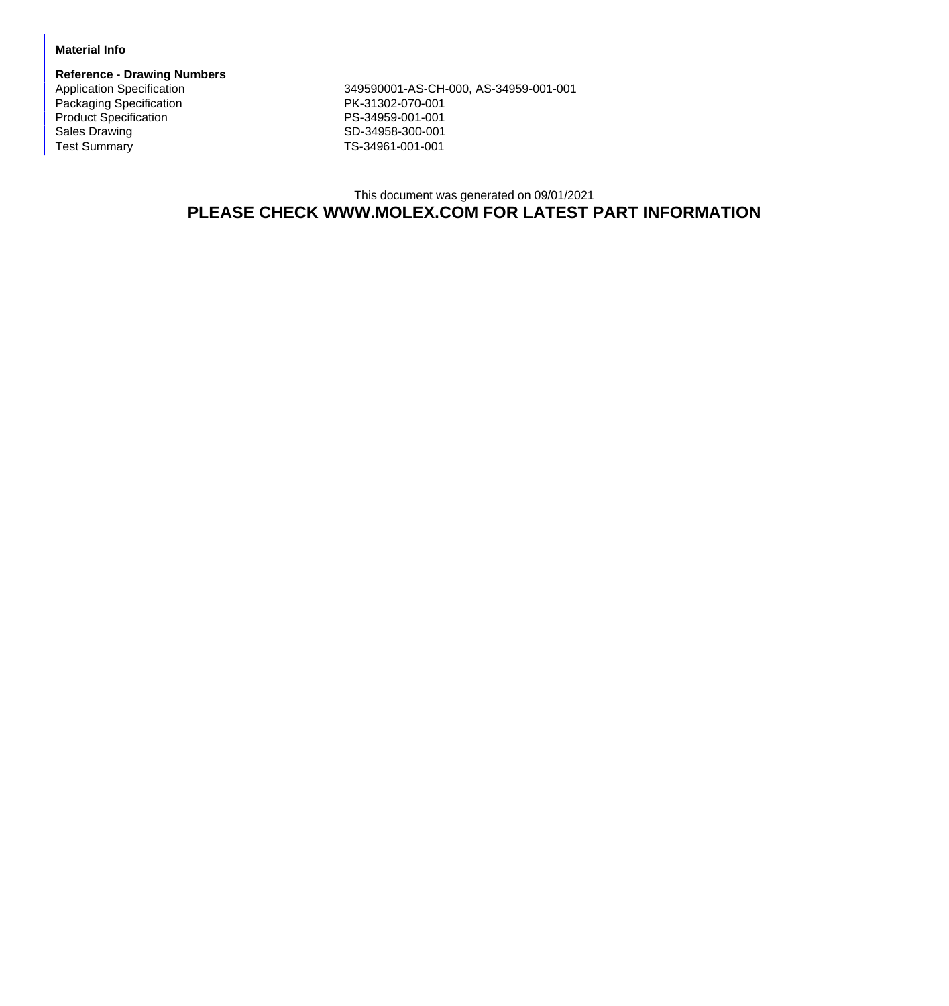## **Material Info**

**Reference - Drawing Numbers** Packaging Specification **PK-31302-070-001** Product Specification **PS-34959-001-001** Sales Drawing Sales Drawing SD-34958-300-001<br>
Test Summary SD-34961-001-001

Application Specification 349590001-AS-CH-000, AS-34959-001-001 TS-34961-001-001

## This document was generated on 09/01/2021 **PLEASE CHECK WWW.MOLEX.COM FOR LATEST PART INFORMATION**